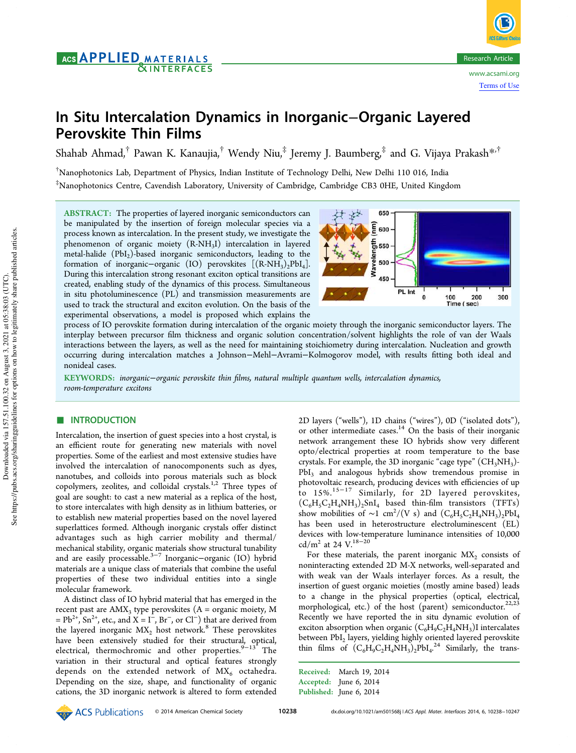# In Situ Intercalation Dynamics in Inorganic−Organic Layered Perovskite Thin Films

Shahab Ahmad, $^\dagger$  Pawan K. Kanaujia, $^\dagger$  Wendy Niu, $^\ddagger$  Jeremy J. Baumberg, $^\ddagger$  and G. Vijaya Prakash $^{*,\dagger}$ 

†Nanophotonics Lab, Department of Physics, Indian Institute of Technology Delhi, New Delhi 110 016, India  $^{\ddagger}$ Nanophotonics Centre, Cavendish Laboratory, University of Cambridge, Cambridge CB3 0HE, United Kingdom

ABSTRACT: The properties of layered inorganic semiconductors can be manipulated by the insertion of foreign molecular species via a process known as intercalation. In the present study, we investigate the phenomenon of organic moiety (R-NH<sub>3</sub>I) intercalation in layered metal-halide  $(PbI<sub>2</sub>)$ -based inorganic semiconductors, leading to the formation of inorganic−organic (IO) perovskites  $[(R-NH_3)_2PbI_4]$ . During this intercalation strong resonant exciton optical transitions are created, enabling study of the dynamics of this process. Simultaneous in situ photoluminescence (PL) and transmission measurements are used to track the structural and exciton evolution. On the basis of the experimental observations, a model is proposed which explains the



process of IO perovskite formation during intercalation of the organic moiety through the inorganic semiconductor layers. The interplay between precursor film thickness and organic solution concentration/solvent highlights the role of van der Waals interactions between the layers, as well as the need for maintaining stoichiometry during intercalation. Nucleation and growth occurring during intercalation matches a Johnson−Mehl−Avrami−Kolmogorov model, with results fitting both ideal and nonideal cases.

KEYWORDS: *inorganic*−*organic perovskite thin* fi*lms, natural multiple quantum wells, intercalation dynamics, room-temperature excitons*

# **■ INTRODUCTION**

Intercalation, the insertion of guest species into a host crystal, is an efficient route for generating new materials with novel properties. Some of the earliest and most extensive studies have involved the intercalation of nanocomponents such as dyes, nanotubes, and colloids into porous materials such as block copolymers, zeolites, and colloidal crystals.<sup>1,2</sup> Three types of goal are sought: to cast a new material as a replica of the host, to store intercalates with high density as in lithium batteries, or to establish new material properties based on the novel layered superlattices formed. Although inorganic crystals offer distinct advantages such as high carrier mobility and thermal/ mechanical stability, organic materials show structural tunability and are easily processable.3−<sup>7</sup> Inorganic−organic (IO) hybrid materials are a unique class of materials that combine the useful properties of these two individual entities into a single molecular framework.

A distinct class of IO hybrid material that has emerged in the recent past are  $AMX_3$  type perovskites  $(A = \text{organic moiety}, M)$  $= Pb^{2+}$ , Sn<sup>2+</sup>, etc., and X = I<sup>-</sup>, Br<sup>-</sup>, or Cl<sup>-</sup>) that are derived from the layered inorganic  $MX_2$  host network.<sup>8</sup> These perovskites have been extensively studied for their structural, optical, electrical, thermochromic and other properties. $9-13$  The variation in their structural and optical features strongly depends on the extended network of  $MX<sub>6</sub>$  octahedra. Depending on the size, shape, and functionality of organic cations, the 3D inorganic network is altered to form extended 2D layers ("wells"), 1D chains ("wires"), 0D ("isolated dots"), or other intermediate cases.<sup>14</sup> On the basis of their inorganic network arrangement these IO hybrids show very different opto/electrical properties at room temperature to the base crystals. For example, the 3D inorganic "cage type" (CH<sub>3</sub>NH<sub>3</sub>)-PbI<sub>3</sub> and analogous hybrids show tremendous promise in photovoltaic research, producing devices with efficiencies of up to 15%.15−<sup>17</sup> Similarly, for 2D layered perovskites,  $(C_6H_5C_2H_4NH_3)_2SnI_4$  based thin-film transistors (TFTs) show mobilities of ~1 cm<sup>2</sup>/(V s) and  $(C_6H_5C_2H_4NH_3)_2PbI_4$ has been used in heterostructure electroluminescent (EL) devices with low-temperature luminance intensities of 10,000 cd/m<sup>2</sup> at 24 V.<sup>18−20</sup>

For these materials, the parent inorganic  $MX_2$  consists of noninteracting extended 2D M-X networks, well-separated and with weak van der Waals interlayer forces. As a result, the insertion of guest organic moieties (mostly amine based) leads to a change in the physical properties (optical, electrical, morphological, etc.) of the host (parent) semiconductor.<sup>22,23</sup> Recently we have reported the in situ dynamic evolution of exciton absorption when organic  $(C_6H_9C_2H_4NH_3)$ I intercalates between  ${\rm PbI_2}$  layers, yielding highly oriented layered perovskite thin films of  $(C_6H_9C_2H_4NH_3)_2PbI_4^{24}$  Similarly, the trans-.

Received: March 19, 2014 Accepted: June 6, 2014 Published: June 6, 2014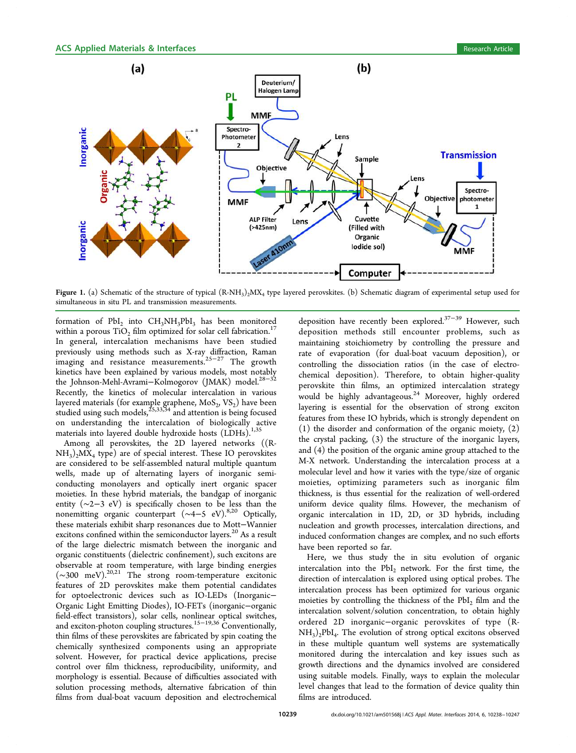

**Figure 1.** (a) Schematic of the structure of typical  $(R\text{-}NH_3)_2\text{}MX_4$  type layered perovskites. (b) Schematic diagram of experimental setup used for simultaneous in situ PL and transmission measurements.

formation of  $PbI_2$  into  $CH_3NH_3PbI_3$  has been monitored within a porous  $TiO<sub>2</sub>$  film optimized for solar cell fabrication.<sup>1</sup> In general, intercalation mechanisms have been studied previously using methods such as X-ray diffraction, Raman imaging and resistance measurements.25−<sup>27</sup> The growth kinetics have been explained by various models, most notably the Johnson-Mehl-Avrami–Kolmogorov (JMAK) model.<sup>28</sup> Recently, the kinetics of molecular intercalation in various layered materials (for example graphene,  $\mathrm{MoS}_{2}, \mathrm{VS}_{2}\mathrm{)}$  have been studied using such models,  $^{25,33,34}$  and attention is being focused on understanding the intercalation of biologically active materials into layered double hydroxide hosts  $(LDHs).<sup>1,35</sup>$ 

Among all perovskites, the 2D layered networks ((R- $\mathrm{NH}_3)_2\mathrm{MX}_4$  type) are of special interest. These IO perovskites are considered to be self-assembled natural multiple quantum wells, made up of alternating layers of inorganic semiconducting monolayers and optically inert organic spacer moieties. In these hybrid materials, the bandgap of inorganic entity (∼2−3 eV) is specifically chosen to be less than the nonemitting organic counterpart (~4−5 eV).<sup>8,20</sup> Optically, these materials exhibit sharp resonances due to Mott−Wannier excitons confined within the semiconductor layers.<sup>20</sup> As a result of the large dielectric mismatch between the inorganic and organic constituents (dielectric confinement), such excitons are observable at room temperature, with large binding energies (∼300 meV).20,21 The strong room-temperature excitonic features of 2D perovskites make them potential candidates for optoelectronic devices such as IO-LEDs (Inorganic− Organic Light Emitting Diodes), IO-FETs (inorganic−organic field-effect transistors), solar cells, nonlinear optical switches, and exciton-photon coupling structures.<sup>15−19,36</sup> Conventionally, thin films of these perovskites are fabricated by spin coating the chemically synthesized components using an appropriate solvent. However, for practical device applications, precise control over film thickness, reproducibility, uniformity, and morphology is essential. Because of difficulties associated with solution processing methods, alternative fabrication of thin films from dual-boat vacuum deposition and electrochemical

deposition have recently been explored.37−<sup>39</sup> However, such deposition methods still encounter problems, such as maintaining stoichiometry by controlling the pressure and rate of evaporation (for dual-boat vacuum deposition), or controlling the dissociation ratios (in the case of electrochemical deposition). Therefore, to obtain higher-quality perovskite thin films, an optimized intercalation strategy would be highly advantageous.<sup>24</sup> Moreover, highly ordered layering is essential for the observation of strong exciton features from these IO hybrids, which is strongly dependent on (1) the disorder and conformation of the organic moiety, (2) the crystal packing, (3) the structure of the inorganic layers, and (4) the position of the organic amine group attached to the M-X network. Understanding the intercalation process at a molecular level and how it varies with the type/size of organic moieties, optimizing parameters such as inorganic film thickness, is thus essential for the realization of well-ordered uniform device quality films. However, the mechanism of organic intercalation in 1D, 2D, or 3D hybrids, including nucleation and growth processes, intercalation directions, and induced conformation changes are complex, and no such efforts have been reported so far.

Here, we thus study the in situ evolution of organic intercalation into the  $PbI_2$  network. For the first time, the direction of intercalation is explored using optical probes. The intercalation process has been optimized for various organic moieties by controlling the thickness of the  $PbI_2$  film and the intercalation solvent/solution concentration, to obtain highly ordered 2D inorganic−organic perovskites of type (R- $NH<sub>3</sub>)<sub>2</sub>PbI<sub>4</sub>$ . The evolution of strong optical excitons observed in these multiple quantum well systems are systematically monitored during the intercalation and key issues such as growth directions and the dynamics involved are considered using suitable models. Finally, ways to explain the molecular level changes that lead to the formation of device quality thin films are introduced.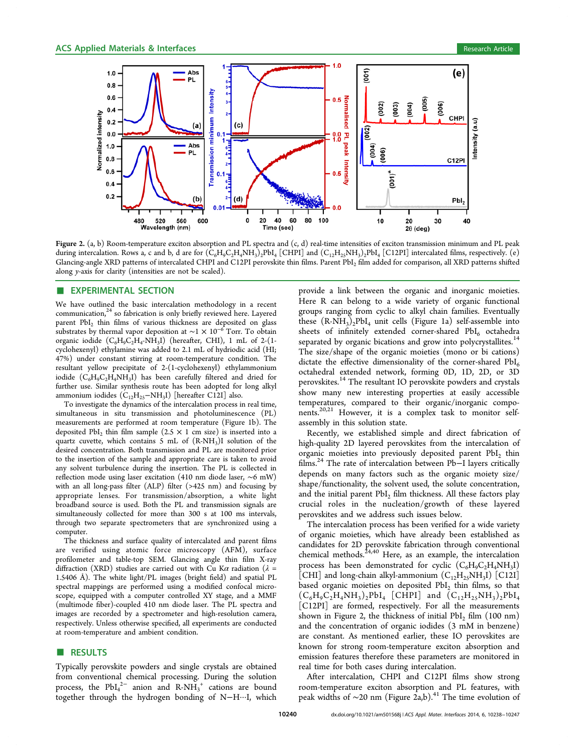

Figure 2. (a, b) Room-temperature exciton absorption and PL spectra and  $(c, d)$  real-time intensities of exciton transmission minimum and PL peak during intercalation. Rows a, c and b, d are for  $(\mathsf{C_6H_9C_2H_4NH_3})_2\text{PbI}_4$  [CHPI] and  $(\mathsf{C_{12}H_{25}NH_3})_2\text{PbI}_4$  [C12PI] intercalated films, respectively. (e) Glancing-angle XRD patterns of intercalated CHPI and C12PI perovskite thin films. Parent PbI<sub>2</sub> film added for comparison, all XRD patterns shifted along *y*-axis for clarity (intensities are not be scaled).

#### **EXPERIMENTAL SECTION**

We have outlined the basic intercalation methodology in a recent communication, $24$  so fabrication is only briefly reviewed here. Layered parent PbI<sub>2</sub> thin films of various thickness are deposited on glass substrates by thermal vapor deposition at ~1 × 10<sup>-6</sup> Torr. To obtain organic iodide  $(C_6H_9C_2H_4\text{-}NH_3I)$  (hereafter, CHI), 1 mL of 2-(1cyclohexenyl) ethylamine was added to 2.1 mL of hydriodic acid (HI; 47%) under constant stirring at room-temperature condition. The resultant yellow precipitate of 2-(1-cyclohexenyl) ethylammonium iodide  $(C_6H_9C_2H_4NH_3I)$  has been carefully filtered and dried for further use. Similar synthesis route has been adopted for long alkyl ammonium iodides  $(\rm C_{12}H_{25}-NH_3I)$  [hereafter C12I] also.

To investigate the dynamics of the intercalation process in real time, simultaneous in situ transmission and photoluminescence (PL) measurements are performed at room temperature (Figure 1b). The deposited  $PbI_2$  thin film sample  $(2.5 \times 1 \text{ cm size})$  is inserted into a quartz cuvette, which contains 5 mL of  $(R-NH<sub>3</sub>)I$  solution of the desired concentration. Both transmission and PL are monitored prior to the insertion of the sample and appropriate care is taken to avoid any solvent turbulence during the insertion. The PL is collected in reflection mode using laser excitation (410 nm diode laser, ∼6 mW) with an all long-pass filter (ALP) filter (>425 nm) and focusing by appropriate lenses. For transmission/absorption, a white light broadband source is used. Both the PL and transmission signals are simultaneously collected for more than 300 s at 100 ms intervals, through two separate spectrometers that are synchronized using a computer.

The thickness and surface quality of intercalated and parent films are verified using atomic force microscopy (AFM), surface profilometer and table-top SEM. Glancing angle thin film X-ray diffraction (XRD) studies are carried out with Cu K $\alpha$  radiation ( $\lambda$  = 1.5406 Å). The white light/PL images (bright field) and spatial PL spectral mappings are performed using a modified confocal microscope, equipped with a computer controlled XY stage, and a MMF (multimode fiber)-coupled 410 nm diode laser. The PL spectra and images are recorded by a spectrometer and high-resolution camera, respectively. Unless otherwise specified, all experiments are conducted at room-temperature and ambient condition.

# ■ RESULTS

Typically perovskite powders and single crystals are obtained from conventional chemical processing. During the solution process, the  $PbI_4^{2-}$  anion and  $R-NH_3^+$  cations are bound together through the hydrogen bonding of N−H···I, which

provide a link between the organic and inorganic moieties. Here R can belong to a wide variety of organic functional groups ranging from cyclic to alkyl chain families. Eventually these  $(R-NH_3)_2PbI_4$  unit cells (Figure 1a) self-assemble into sheets of infinitely extended corner-shared  $PbI_6$  octahedra separated by organic bications and grow into polycrystallites.<sup>14</sup> The size/shape of the organic moieties (mono or bi cations) dictate the effective dimensionality of the corner-shared  $PbI<sub>6</sub>$ octahedral extended network, forming 0D, 1D, 2D, or 3D perovskites.<sup>14</sup> The resultant IO perovskite powders and crystals show many new interesting properties at easily accessible temperatures, compared to their organic/inorganic components.20,21 However, it is a complex task to monitor selfassembly in this solution state.

Recently, we established simple and direct fabrication of high-quality 2D layered perovskites from the intercalation of organic moieties into previously deposited parent  $PbI_2$  thin films.<sup>24</sup> The rate of intercalation between Pb−I layers critically depends on many factors such as the organic moiety size/ shape/functionality, the solvent used, the solute concentration, and the initial parent PbI<sub>2</sub> film thickness. All these factors play crucial roles in the nucleation/growth of these layered perovskites and we address such issues below.

The intercalation process has been verified for a wide variety of organic moieties, which have already been established as candidates for 2D perovskite fabrication through conventional chemical methods.  $2^{24,40}$  Here, as an example, the intercalation process has been demonstrated for cyclic  $(C_6H_9C_2H_4NH_3I)$ [CHI] and long-chain alkyl-ammonium  $(C_{12}H_{25}NH_3I)$  [C12I] based organic moieties on deposited  $PbI_2$  thin films, so that  $(C_6H_9C_2H_4NH_3)_2PbI_4$  [CHPI] and  $(C_{12}H_{25}NH_3)_2PbI_4$ [C12PI] are formed, respectively. For all the measurements shown in Figure 2, the thickness of initial PbI<sub>2</sub> film  $(100 \text{ nm})$ and the concentration of organic iodides (3 mM in benzene) are constant. As mentioned earlier, these IO perovskites are known for strong room-temperature exciton absorption and emission features therefore these parameters are monitored in real time for both cases during intercalation.

After intercalation, CHPI and C12PI films show strong room-temperature exciton absorption and PL features, with peak widths of ~20 nm (Figure 2a,b).<sup>41</sup> The time evolution of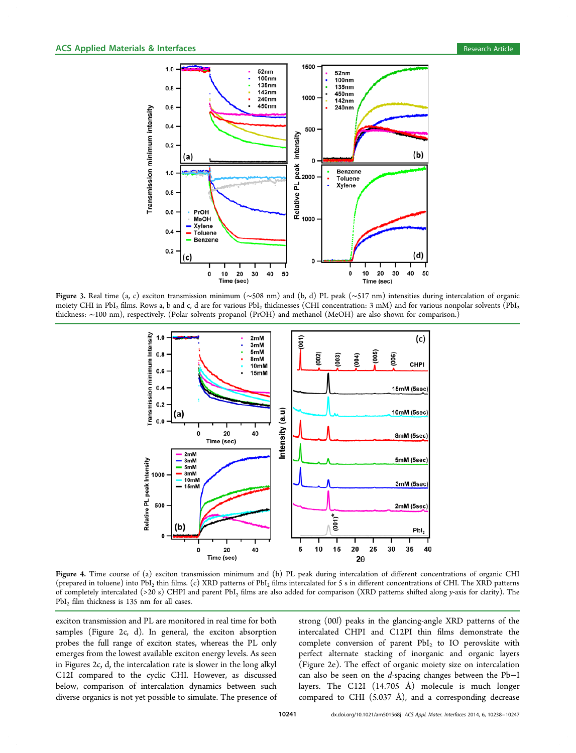

Figure 3. Real time (a, c) exciton transmission minimum (∼508 nm) and (b, d) PL peak (∼517 nm) intensities during intercalation of organic moiety CHI in PbI<sub>2</sub> films. Rows a, b and c, d are for various PbI<sub>2</sub> thicknesses (CHI concentration: 3 mM) and for various nonpolar solvents (PbI<sub>2</sub> thickness: ∼100 nm), respectively. (Polar solvents propanol (PrOH) and methanol (MeOH) are also shown for comparison.)



Figure 4. Time course of (a) exciton transmission minimum and (b) PL peak during intercalation of different concentrations of organic CHI (prepared in toluene) into  $PbI_2$  thin films. (c) XRD patterns of  $PbI_2$  films intercalated for 5 s in different concentrations of CHI. The XRD patterns of completely intercalated (>20 s) CHPI and parent PbI<sup>2</sup> films are also added for comparison (XRD patterns shifted along *y*-axis for clarity). The  $PbI<sub>2</sub>$  film thickness is 135 nm for all cases.

exciton transmission and PL are monitored in real time for both samples (Figure 2c, d). In general, the exciton absorption probes the full range of exciton states, whereas the PL only emerges from the lowest available exciton energy levels. As seen in Figures 2c, d, the intercalation rate is slower in the long alkyl C12I compared to the cyclic CHI. However, as discussed below, comparison of intercalation dynamics between such diverse organics is not yet possible to simulate. The presence of

strong (00*l*) peaks in the glancing-angle XRD patterns of the intercalated CHPI and C12PI thin films demonstrate the complete conversion of parent  $PbI_2$  to IO perovskite with perfect alternate stacking of inorganic and organic layers (Figure 2e). The effect of organic moiety size on intercalation can also be seen on the *d*-spacing changes between the Pb−I layers. The C12I (14.705 Å) molecule is much longer compared to CHI (5.037 Å), and a corresponding decrease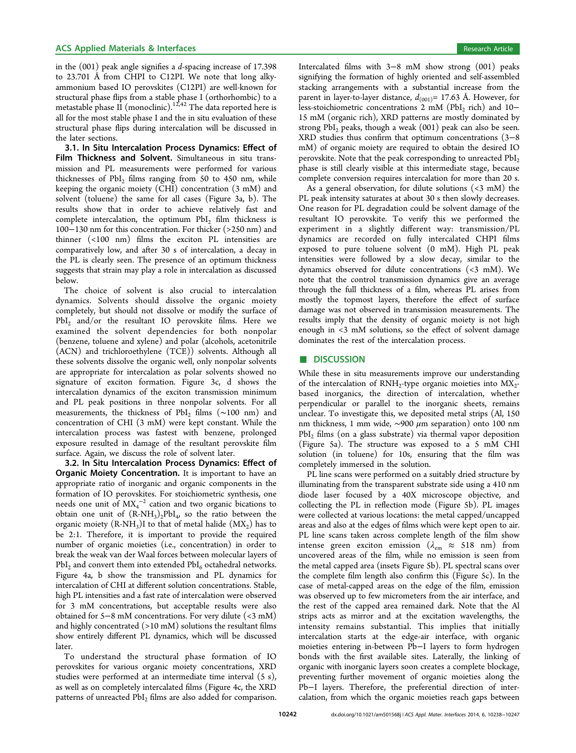## ACS Applied Materials & Interfaces **Research Article** Research Article **Research Article**

in the (001) peak angle signifies a *d*-spacing increase of 17.398 to 23.701 Å from CHPI to C12PI. We note that long alkyammonium based IO perovskites (C12PI) are well-known for structural phase flips from a stable phase I (orthorhombic) to a metastable phase  $\tilde{\mathrm{II}}$  (monoclinic). $^{12,42}$  The data reported here is all for the most stable phase I and the in situ evaluation of these structural phase flips during intercalation will be discussed in the later sections.

3.1. In Situ Intercalation Process Dynamics: Effect of Film Thickness and Solvent. Simultaneous in situ transmission and PL measurements were performed for various thicknesses of  $PbI<sub>2</sub>$  films ranging from 50 to 450 nm, while keeping the organic moiety (CHI) concentration (3 mM) and solvent (toluene) the same for all cases (Figure 3a, b). The results show that in order to achieve relatively fast and complete intercalation, the optimum  $PbI<sub>2</sub>$  film thickness is 100−130 nm for this concentration. For thicker (>250 nm) and thinner (<100 nm) films the exciton PL intensities are comparatively low, and after 30 s of intercalation, a decay in the PL is clearly seen. The presence of an optimum thickness suggests that strain may play a role in intercalation as discussed below.

The choice of solvent is also crucial to intercalation dynamics. Solvents should dissolve the organic moiety completely, but should not dissolve or modify the surface of  $PbI<sub>2</sub>$  and/or the resultant IO perovskite films. Here we examined the solvent dependencies for both nonpolar (benzene, toluene and xylene) and polar (alcohols, acetonitrile (ACN) and trichloroethylene (TCE)) solvents. Although all these solvents dissolve the organic well, only nonpolar solvents are appropriate for intercalation as polar solvents showed no signature of exciton formation. Figure 3c, d shows the intercalation dynamics of the exciton transmission minimum and PL peak positions in three nonpolar solvents. For all measurements, the thickness of PbI<sub>2</sub> films (~100 nm) and concentration of CHI (3 mM) were kept constant. While the intercalation process was fastest with benzene, prolonged exposure resulted in damage of the resultant perovskite film surface. Again, we discuss the role of solvent later.

3.2. In Situ Intercalation Process Dynamics: Effect of **Organic Moiety Concentration.** It is important to have an appropriate ratio of inorganic and organic components in the formation of IO perovskites. For stoichiometric synthesis, one needs one unit of  $MX_4^{-2}$  cation and two organic bications to obtain one unit of  $(R-NH_3)_2PbI_4$ , so the ratio between the organic moiety  $(R-NH_3)I$  to that of metal halide  $(MX_2)$  has to be 2:1. Therefore, it is important to provide the required number of organic moieties (i.e., concentration) in order to break the weak van der Waal forces between molecular layers of  $PbI<sub>2</sub>$  and convert them into extended  $PbI<sub>6</sub>$  octahedral networks. Figure 4a, b show the transmission and PL dynamics for intercalation of CHI at different solution concentrations. Stable, high PL intensities and a fast rate of intercalation were observed for 3 mM concentrations, but acceptable results were also obtained for 5−8 mM concentrations. For very dilute (<3 mM) and highly concentrated  $(>10$  mM) solutions the resultant films show entirely different PL dynamics, which will be discussed later.

To understand the structural phase formation of IO perovskites for various organic moiety concentrations, XRD studies were performed at an intermediate time interval (5 s), as well as on completely intercalated films (Figure 4c, the XRD patterns of unreacted PbI<sub>2</sub> films are also added for comparison. Intercalated films with 3−8 mM show strong (001) peaks signifying the formation of highly oriented and self-assembled stacking arrangements with a substantial increase from the parent in layer-to-layer distance,  $d_{(001)} = 17.63$  Å. However, for less-stoichiometric concentrations  $2 \text{ mM}$  (PbI<sub>2</sub> rich) and 10− 15 mM (organic rich), XRD patterns are mostly dominated by strong  $PbI_2$  peaks, though a weak  $(001)$  peak can also be seen. XRD studies thus confirm that optimum concentrations (3−8 mM) of organic moiety are required to obtain the desired IO perovskite. Note that the peak corresponding to unreacted PbI<sub>2</sub> phase is still clearly visible at this intermediate stage, because complete conversion requires intercalation for more than 20 s.

As a general observation, for dilute solutions  $( $3$  mM)$  the PL peak intensity saturates at about 30 s then slowly decreases. One reason for PL degradation could be solvent damage of the resultant IO perovskite. To verify this we performed the experiment in a slightly different way: transmission/PL dynamics are recorded on fully intercalated CHPI films exposed to pure toluene solvent (0 mM). High PL peak intensities were followed by a slow decay, similar to the dynamics observed for dilute concentrations (<3 mM). We note that the control transmission dynamics give an average through the full thickness of a film, whereas PL arises from mostly the topmost layers, therefore the effect of surface damage was not observed in transmission measurements. The results imply that the density of organic moiety is not high enough in <3 mM solutions, so the effect of solvent damage dominates the rest of the intercalation process.

#### ■ DISCUSSION

While these in situ measurements improve our understanding of the intercalation of  $RNH_2$ -type organic moieties into  $MX_2$ based inorganics, the direction of intercalation, whether perpendicular or parallel to the inorganic sheets, remains unclear. To investigate this, we deposited metal strips (Al, 150 nm thickness, 1 mm wide, ∼900 μm separation) onto 100 nm  $PbI<sub>2</sub>$  films (on a glass substrate) via thermal vapor deposition (Figure 5a). The structure was exposed to a 5 mM CHI solution (in toluene) for 10s, ensuring that the film was completely immersed in the solution.

PL line scans were performed on a suitably dried structure by illuminating from the transparent substrate side using a 410 nm diode laser focused by a 40X microscope objective, and collecting the PL in reflection mode (Figure 5b). PL images were collected at various locations: the metal capped/uncapped areas and also at the edges of films which were kept open to air. PL line scans taken across complete length of the film show intense green exciton emission ( $\lambda_{em} \approx 518$  nm) from uncovered areas of the film, while no emission is seen from the metal capped area (insets Figure 5b). PL spectral scans over the complete film length also confirm this (Figure 5c). In the case of metal-capped areas on the edge of the film, emission was observed up to few micrometers from the air interface, and the rest of the capped area remained dark. Note that the Al strips acts as mirror and at the excitation wavelengths, the intensity remains substantial. This implies that initially intercalation starts at the edge-air interface, with organic moieties entering in-between Pb−I layers to form hydrogen bonds with the first available sites. Laterally, the linking of organic with inorganic layers soon creates a complete blockage, preventing further movement of organic moieties along the Pb−I layers. Therefore, the preferential direction of intercalation, from which the organic moieties reach gaps between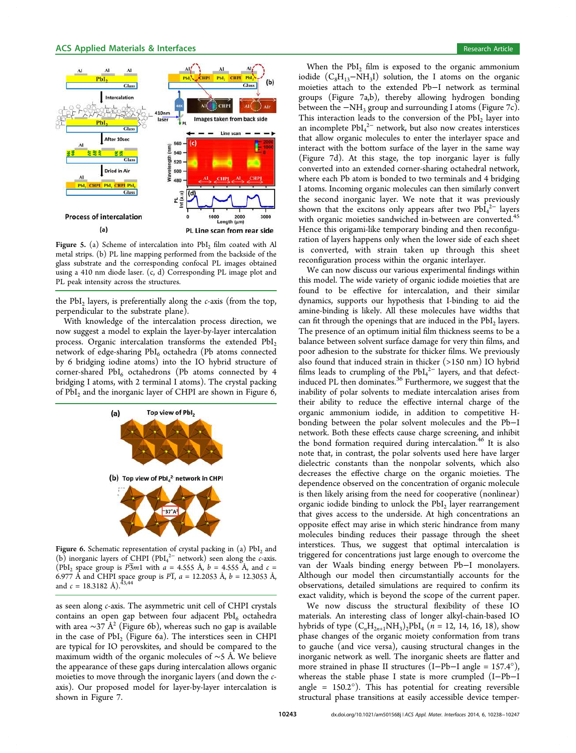

Figure 5. (a) Scheme of intercalation into  $PbI<sub>2</sub>$  film coated with Al metal strips. (b) PL line mapping performed from the backside of the glass substrate and the corresponding confocal PL images obtained using a 410 nm diode laser. (c, d) Corresponding PL image plot and PL peak intensity across the structures.

the PbI<sup>2</sup> layers, is preferentially along the *c*-axis (from the top, perpendicular to the substrate plane).

With knowledge of the intercalation process direction, we now suggest a model to explain the layer-by-layer intercalation process. Organic intercalation transforms the extended  $PbI_2$ network of edge-sharing PbI<sub>6</sub> octahedra (Pb atoms connected by 6 bridging iodine atoms) into the IO hybrid structure of corner-shared  $PbI_6$  octahedrons (Pb atoms connected by 4 bridging I atoms, with 2 terminal I atoms). The crystal packing of  $\mathrm{PbI}_2$  and the inorganic layer of CHPI are shown in Figure 6,



**Figure 6.** Schematic representation of crystal packing in (a)  $PbI_2$  and (b) inorganic layers of CHPI (PbI<sup>4</sup> 2− network) seen along the *c*-axis. (PbI<sub>2</sub> space group is  $\overline{P3}m1$  with  $a = 4.555$  Å,  $b = 4.555$  Å, and  $c =$ 6.977 Å and CHPI space group is  $P\bar{1}$ ,  $a = 12.2053$  Å,  $b = 12.3053$  Å, and  $c = 18.3182 \text{ Å}.$ <sup>43,44</sup>

as seen along *c*-axis. The asymmetric unit cell of CHPI crystals contains an open gap between four adjacent  $PbI_6$  octahedra with area  $\sim$ 37 Å<sup>2</sup> (Figure 6b), whereas such no gap is available in the case of  $PbI_2$  (Figure 6a). The interstices seen in CHPI are typical for IO perovskites, and should be compared to the maximum width of the organic molecules of ∼5 Å. We believe the appearance of these gaps during intercalation allows organic moieties to move through the inorganic layers (and down the *c*axis). Our proposed model for layer-by-layer intercalation is shown in Figure 7.

When the  $PbI_2$  film is exposed to the organic ammonium iodide  $(C_8H_{13}-NH_3I)$  solution, the I atoms on the organic moieties attach to the extended Pb−I network as terminal groups (Figure 7a,b), thereby allowing hydrogen bonding between the  $-NH_3$  group and surrounding I atoms (Figure 7c). This interaction leads to the conversion of the  $PbI<sub>2</sub>$  layer into an incomplete  $PbI<sub>4</sub><sup>2–</sup>$  network, but also now creates interstices that allow organic molecules to enter the interlayer space and interact with the bottom surface of the layer in the same way (Figure 7d). At this stage, the top inorganic layer is fully converted into an extended corner-sharing octahedral network, where each Pb atom is bonded to two terminals and 4 bridging I atoms. Incoming organic molecules can then similarly convert the second inorganic layer. We note that it was previously shown that the excitons only appears after two  $PbI<sub>4</sub><sup>2–</sup>$  layers with organic moieties sandwiched in-between are converted.<sup>45</sup> Hence this origami-like temporary binding and then reconfiguration of layers happens only when the lower side of each sheet is converted, with strain taken up through this sheet reconfiguration process within the organic interlayer.

We can now discuss our various experimental findings within this model. The wide variety of organic iodide moieties that are found to be effective for intercalation, and their similar dynamics, supports our hypothesis that I-binding to aid the amine-binding is likely. All these molecules have widths that can fit through the openings that are induced in the  $PbI<sub>2</sub>$  layers. The presence of an optimum initial film thickness seems to be a balance between solvent surface damage for very thin films, and poor adhesion to the substrate for thicker films. We previously also found that induced strain in thicker (>150 nm) IO hybrid films leads to crumpling of the PbI<sub>4</sub><sup>2-</sup> layers, and that defectinduced PL then dominates.<sup>36</sup> Furthermore, we suggest that the inability of polar solvents to mediate intercalation arises from their ability to reduce the effective internal charge of the organic ammonium iodide, in addition to competitive Hbonding between the polar solvent molecules and the Pb−I network. Both these effects cause charge screening, and inhibit the bond formation required during intercalation.<sup>46</sup> It is also note that, in contrast, the polar solvents used here have larger dielectric constants than the nonpolar solvents, which also decreases the effective charge on the organic moieties. The dependence observed on the concentration of organic molecule is then likely arising from the need for cooperative (nonlinear) organic iodide binding to unlock the  $PbI_2$  layer rearrangement that gives access to the underside. At high concentrations an opposite effect may arise in which steric hindrance from many molecules binding reduces their passage through the sheet interstices. Thus, we suggest that optimal intercalation is triggered for concentrations just large enough to overcome the van der Waals binding energy between Pb−I monolayers. Although our model then circumstantially accounts for the observations, detailed simulations are required to confirm its exact validity, which is beyond the scope of the current paper.

We now discuss the structural flexibility of these IO materials. An interesting class of longer alkyl-chain-based IO hybrids of type  $(C_nH_{2n+1}NH_3)_2PbI_4$  (*n* = 12, 14, 16, 18), show phase changes of the organic moiety conformation from trans to gauche (and vice versa), causing structural changes in the inorganic network as well. The inorganic sheets are flatter and more strained in phase II structures (I−Pb−I angle = 157.4°), whereas the stable phase I state is more crumpled (I−Pb−I angle =  $150.2^{\circ}$ ). This has potential for creating reversible structural phase transitions at easily accessible device temper-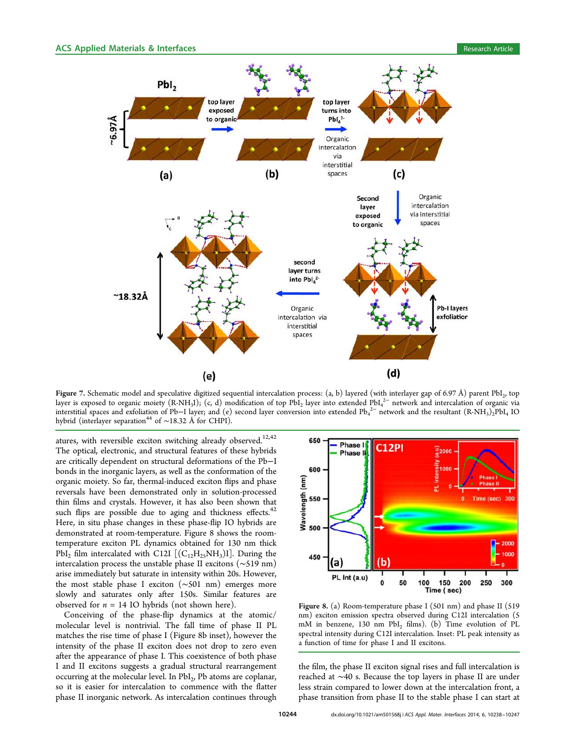

**Figure** 7. Schematic model and speculative digitized sequential intercalation process:  $(a, b)$  layered (with interlayer gap of 6.97 Å) parent PbI<sub>2</sub>, top layer is exposed to organic moiety (R-NH<sub>3</sub>I), (c, d) modification of top PbI<sub>2</sub> layer into extended PbI<sub>4</sub><sup>2–</sup> network and intercalation of organic via interstitial spaces and exfoliation of Pb–I layer; and (e) second layer conversion into extended Pb<sub>4</sub><sup>2−</sup> network and the resultant (R-NH<sub>3</sub>)<sub>2</sub>PbI<sub>4</sub> IO hybrid (interlayer separation<sup>44</sup> of ~18.32 Å for CHPI).

atures, with reversible exciton switching already observed.<sup>12,42</sup> The optical, electronic, and structural features of these hybrids are critically dependent on structural deformations of the Pb−I bonds in the inorganic layers, as well as the conformation of the organic moiety. So far, thermal-induced exciton flips and phase reversals have been demonstrated only in solution-processed thin films and crystals. However, it has also been shown that such flips are possible due to aging and thickness effects.<sup>42</sup> Here, in situ phase changes in these phase-flip IO hybrids are demonstrated at room-temperature. Figure 8 shows the roomtemperature exciton PL dynamics obtained for 130 nm thick  $PbI_2$  film intercalated with C12I  $[(C_{12}H_{25}NH_3)I]$ . During the intercalation process the unstable phase II excitons (∼519 nm) arise immediately but saturate in intensity within 20s. However, the most stable phase I exciton (∼501 nm) emerges more slowly and saturates only after 150s. Similar features are observed for  $n = 14$  IO hybrids (not shown here).

Conceiving of the phase-flip dynamics at the atomic/ molecular level is nontrivial. The fall time of phase II PL matches the rise time of phase I (Figure 8b inset), however the intensity of the phase II exciton does not drop to zero even after the appearance of phase I. This coexistence of both phase I and II excitons suggests a gradual structural rearrangement occurring at the molecular level. In PbI<sub>2</sub>, Pb atoms are coplanar, so it is easier for intercalation to commence with the flatter phase II inorganic network. As intercalation continues through



Figure 8. (a) Room-temperature phase I (501 nm) and phase II (519 nm) exciton emission spectra observed during C12I intercalation (5 mM in benzene, 130 nm PbI<sub>2</sub> films). (b) Time evolution of PL spectral intensity during C12I intercalation. Inset: PL peak intensity as a function of time for phase I and II excitons.

the film, the phase II exciton signal rises and full intercalation is reached at ∼40 s. Because the top layers in phase II are under less strain compared to lower down at the intercalation front, a phase transition from phase II to the stable phase I can start at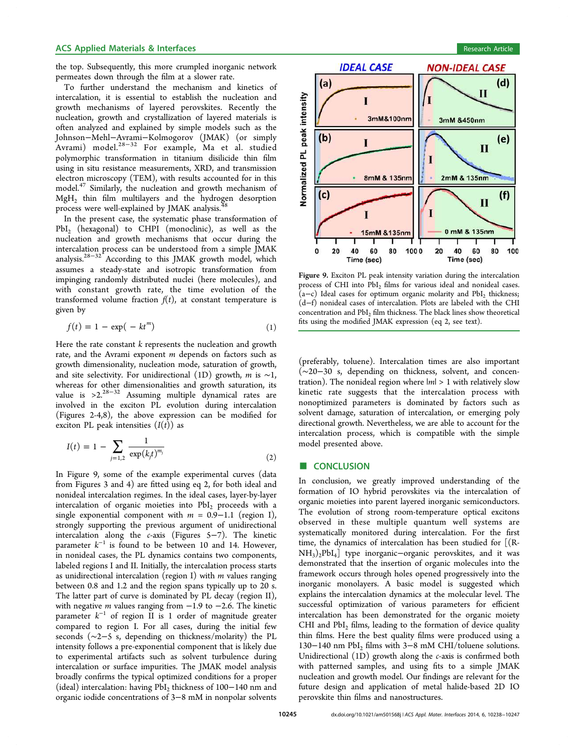## ACS Applied Materials & Interfaces **Research Article** Research Article **Research Article**

the top. Subsequently, this more crumpled inorganic network permeates down through the film at a slower rate.

To further understand the mechanism and kinetics of intercalation, it is essential to establish the nucleation and growth mechanisms of layered perovskites. Recently the nucleation, growth and crystallization of layered materials is often analyzed and explained by simple models such as the Johnson−Mehl−Avrami−Kolmogorov (JMAK) (or simply Avrami) model.28−<sup>32</sup> For example, Ma et al. studied polymorphic transformation in titanium disilicide thin film using in situ resistance measurements, XRD, and transmission electron microscopy (TEM), with results accounted for in this model.<sup>47</sup> Similarly, the nucleation and growth mechanism of  $MgH<sub>2</sub>$  thin film multilayers and the hydrogen desorption process were well-explained by JMAK analysis.<sup>4</sup>

In the present case, the systematic phase transformation of  $PbI_2$  (hexagonal) to CHPI (monoclinic), as well as the nucleation and growth mechanisms that occur during the intercalation process can be understood from a simple JMAK analysis.28−<sup>32</sup> According to this JMAK growth model, which assumes a steady-state and isotropic transformation from impinging randomly distributed nuclei (here molecules), and with constant growth rate, the time evolution of the transformed volume fraction  $f(t)$ , at constant temperature is given by

$$
f(t) = 1 - \exp(-kt^m) \tag{1}
$$

Here the rate constant *k* represents the nucleation and growth rate, and the Avrami exponent *m* depends on factors such as growth dimensionality, nucleation mode, saturation of growth, and site selectivity. For unidirectional (1D) growth, *m* is ∼1, whereas for other dimensionalities and growth saturation, its value is >2.28−<sup>32</sup> Assuming multiple dynamical rates are involved in the exciton PL evolution during intercalation (Figures 2-4,8), the above expression can be modified for exciton PL peak intensities  $(I(t))$  as

$$
I(t) = 1 - \sum_{j=1,2} \frac{1}{\exp(k_j t)^{m_j}}
$$
 (2)

In Figure 9, some of the example experimental curves (data from Figures 3 and 4) are fitted using eq 2, for both ideal and nonideal intercalation regimes. In the ideal cases, layer-by-layer intercalation of organic moieties into  $PbI<sub>2</sub>$  proceeds with a single exponential component with *m* = 0.9−1.1 (region I), strongly supporting the previous argument of unidirectional intercalation along the *c*-axis (Figures 5−7). The kinetic parameter  $k^{-1}$  is found to be between 10 and 14. However, in nonideal cases, the PL dynamics contains two components, labeled regions I and II. Initially, the intercalation process starts as unidirectional intercalation (region I) with *m* values ranging between 0.8 and 1.2 and the region spans typically up to 20 s. The latter part of curve is dominated by PL decay (region II), with negative *m* values ranging from −1.9 to −2.6. The kinetic parameter *k* −1 of region II is 1 order of magnitude greater compared to region I. For all cases, during the initial few seconds (∼2−5 s, depending on thickness/molarity) the PL intensity follows a pre-exponential component that is likely due to experimental artifacts such as solvent turbulence during intercalation or surface impurities. The JMAK model analysis broadly confirms the typical optimized conditions for a proper (ideal) intercalation: having PbI<sub>2</sub> thickness of 100-140 nm and organic iodide concentrations of 3−8 mM in nonpolar solvents





Figure 9. Exciton PL peak intensity variation during the intercalation process of CHI into  $PbI_2$  films for various ideal and nonideal cases.  $(a-c)$  Ideal cases for optimum organic molarity and PbI<sub>2</sub> thickness; (d−f) nonideal cases of intercalation. Plots are labeled with the CHI concentration and PbI<sub>2</sub> film thickness. The black lines show theoretical fits using the modified JMAK expression (eq 2, see text).

(preferably, toluene). Intercalation times are also important (∼20−30 s, depending on thickness, solvent, and concentration). The nonideal region where |*m*| > 1 with relatively slow kinetic rate suggests that the intercalation process with nonoptimized parameters is dominated by factors such as solvent damage, saturation of intercalation, or emerging poly directional growth. Nevertheless, we are able to account for the intercalation process, which is compatible with the simple model presented above.

#### ■ CONCLUSION

In conclusion, we greatly improved understanding of the formation of IO hybrid perovskites via the intercalation of organic moieties into parent layered inorganic semiconductors. The evolution of strong room-temperature optical excitons observed in these multiple quantum well systems are systematically monitored during intercalation. For the first time, the dynamics of intercalation has been studied for [(R- $NH<sub>3</sub>)<sub>2</sub>PbI<sub>4</sub>$ ] type inorganic−organic perovskites, and it was demonstrated that the insertion of organic molecules into the framework occurs through holes opened progressively into the inorganic monolayers. A basic model is suggested which explains the intercalation dynamics at the molecular level. The successful optimization of various parameters for efficient intercalation has been demonstrated for the organic moiety CHI and  $PbI<sub>2</sub>$  films, leading to the formation of device quality thin films. Here the best quality films were produced using a 130−140 nm PbI<sup>2</sup> films with 3−8 mM CHI/toluene solutions. Unidirectional (1D) growth along the *c*-axis is confirmed both with patterned samples, and using fits to a simple JMAK nucleation and growth model. Our findings are relevant for the future design and application of metal halide-based 2D IO perovskite thin films and nanostructures.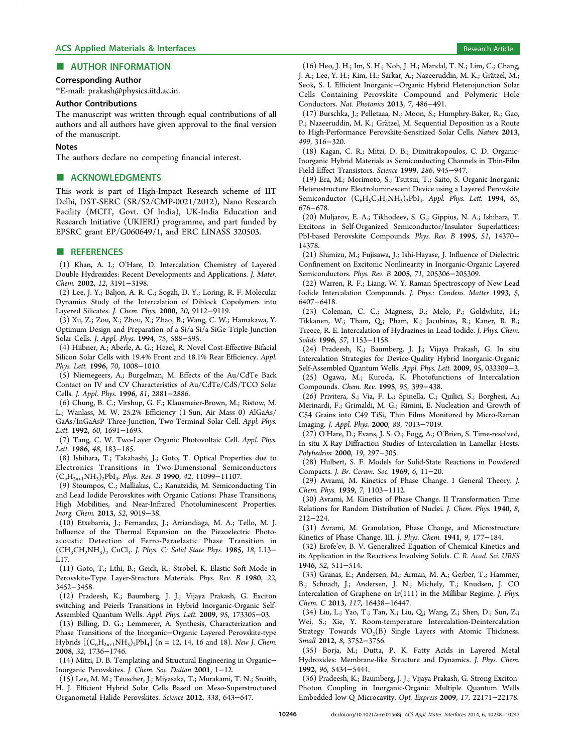## ■ AUTHOR INFORMATION

#### Corresponding Author

\*E-mail: prakash@physics.iitd.ac.in.

#### Author Contributions

The manuscript was written through equal contributions of all authors and all authors have given approval to the final version of the manuscript.

#### **Notes**

The authors declare no competing financial interest.

## ■ ACKNOWLEDGMENTS

This work is part of High-Impact Research scheme of IIT Delhi, DST-SERC (SR/S2/CMP-0021/2012), Nano Research Facility (MCIT, Govt. Of India), UK-India Education and Research Initiative (UKIERI) programme, and part funded by EPSRC grant EP/G060649/1, and ERC LINASS 320503.

#### ■ REFERENCES

(1) Khan, A. I.; O'Hare, D. Intercalation Chemistry of Layered Double Hydroxides: Recent Developments and Applications. *J. Mater. Chem.* 2002, *12*, 3191−3198.

(2) Lee, J. Y.; Baljon, A. R. C.; Sogah, D. Y.; Loring, R. F. Molecular Dynamics Study of the Intercalation of Diblock Copolymers into Layered Silicates. *J. Chem. Phys.* 2000, *20*, 9112−9119.

(3) Xu, Z.; Zou, X.; Zhou, X.; Zhao, B.; Wang, C. W.; Hamakawa, Y. Optimum Design and Preparation of a-Si/a-Si/a-SiGe Triple-Junction Solar Cells. *J. Appl. Phys.* 1994, *75*, 588−595.

(4) Hiibner, A.; Aberle, A. G.; Hezel, R. Novel Cost-Effective Bifacial Silicon Solar Cells with 19.4% Front and 18.1% Rear Efficiency. *Appl. Phys. Lett.* 1996, *70*, 1008−1010.

(5) Niemegeers, A.; Burgelman, M. Effects of the Au/CdTe Back Contact on IV and CV Characteristics of Au/CdTe/CdS/TCO Solar Cells. *J. Appl. Phys.* 1996, *81*, 2881−2886.

(6) Chung, B. C.; Virshup, G. F.; Klausmeier-Brown, M.; Ristow, M. L.; Wanlass, M. W. 25.2% Efficiency (1-Sun, Air Mass 0) AlGaAs/ GaAs/InGaAsP Three-Junction, Two-Terminal Solar Cell. *Appl. Phys. Lett.* 1992, *60*, 1691−1693.

(7) Tang, C. W. Two-Layer Organic Photovoltaic Cell. *Appl. Phys. Lett.* 1986, *48*, 183−185.

(8) Ishihara, T.; Takahashi, J.; Goto, T. Optical Properties due to Electronics Transitions in Two-Dimensional Semiconductors (C*n*H<sup>2</sup>*n*+1NH<sup>3</sup> )2PbI<sup>4</sup> . *Phys. Rev. B* 1990, *42*, 11099−11107.

(9) Stoumpos, C.; Malliakas, C.; Kanatzidis, M. Semiconducting Tin and Lead Iodide Perovskites with Organic Cations: Phase Transitions, High Mobilities, and Near-Infrared Photoluminescent Properties. *Inorg. Chem.* 2013, *52*, 9019−38.

(10) Etxebarria, J.; Fernandez, J.; Arriandiaga, M. A.; Tello, M. J. Influence of the Thermal Expansion on the Piezoelectric Photoacoustic Detection of Ferro-Paraelastic Phase Transition in (CH3CH2NH<sup>3</sup> )<sup>2</sup> CuCl<sup>4</sup> . *J. Phys. C: Solid State Phys.* 1985, *18*, L13− L17.

(11) Goto, T.; Lthi, B.; Geick, R.; Strobel, K. Elastic Soft Mode in Perovskite-Type Layer-Structure Materials. *Phys. Rev. B* 1980, *22*, 3452−3458.

(12) Pradeesh, K.; Baumberg, J. J.; Vijaya Prakash, G. Exciton switching and Peierls Transitions in Hybrid Inorganic-Organic Self-Assembled Quantum Wells. *Appl. Phys. Lett.* 2009, *95*, 173305−03.

(13) Billing, D. G.; Lemmerer, A. Synthesis, Characterization and Phase Transitions of the Inorganic−Organic Layered Perovskite-type Hybrids  $[(C_nH_{2n+1}NH_3)_2PbI_4]$  (n = 12, 14, 16 and 18). *New J. Chem.* 2008, *32*, 1736−1746.

(14) Mitzi, D. B. Templating and Structural Engineering in Organic− Inorganic Perovskites. *J. Chem. Soc. Dalton* 2001, 1−12.

(15) Lee, M. M.; Teuscher, J.; Miyasaka, T.; Murakami, T. N.; Snaith, H. J. Efficient Hybrid Solar Cells Based on Meso-Superstructured Organometal Halide Perovskites. *Science* 2012, *338*, 643−647.

(16) Heo, J. H.; Im, S. H.; Noh, J. H.; Mandal, T. N.; Lim, C.; Chang, J. A.; Lee, Y. H.; Kim, H.; Sarkar, A.; Nazeeruddin, M. K.; Grätzel, M.; Seok, S. I. Efficient Inorganic−Organic Hybrid Heterojunction Solar Cells Containing Perovskite Compound and Polymeric Hole Conductors. *Nat. Photonics* 2013, *7*, 486−491.

(17) Burschka, J.; Pelletaaa, N.; Moon, S.; Humphry-Baker, R.; Gao, P.; Nazeeruddin, M. K.; Grätzel, M. Sequential Deposition as a Route to High-Performance Perovskite-Sensitized Solar Cells. *Nature* 2013, *499*, 316−320.

(18) Kagan, C. R.; Mitzi, D. B.; Dimitrakopoulos, C. D. Organic-Inorganic Hybrid Materials as Semiconducting Channels in Thin-Film Field-Effect Transistors. *Science* 1999, *286*, 945−947.

(19) Era, M.; Morimoto, S.; Tsutsui, T.; Saito, S. Organic-Inorganic Heterostructure Electroluminescent Device using a Layered Perovskite Semiconductor (C6H5C2H4NH<sup>3</sup> )2PbI<sup>4</sup> . *Appl. Phys. Lett.* 1994, *65*, 676−678.

(20) Muljarov, E. A.; Tikhodeev, S. G.; Gippius, N. A.; Ishihara, T. Excitons in Self-Organized Semiconductor/Insulator Superlattices: PbI-based Perovskite Compounds. *Phys. Rev. B* 1995, *51*, 14370− 14378.

(21) Shimizu, M.; Fujisawa, J.; Ishi-Hayase, J. Influence of Dielectric Confinement on Excitonic Nonlinearity in Inorganic-Organic Layered Semiconductors. *Phys. Rev. B* 2005, *71*, 205306−205309.

(22) Warren, R. F.; Liang, W. Y. Raman Spectroscopy of New Lead Iodide Intercalation Compounds. *J. Phys.: Condens. Matter* 1993, *5*, 6407−6418.

(23) Coleman, C. C.; Magness, B.; Melo, P.; Goldwhite, H.; Tikkanen, W.; Tham, Q.; Pham, K.; Jacubinas, R.; Kaner, R. B.; Treece, R. E. Intercalation of Hydrazines in Lead Iodide. *J. Phys. Chem. Solids* 1996, *57*, 1153−1158.

(24) Pradeesh, K.; Baumberg, J. J.; Vijaya Prakash, G. In situ Intercalation Strategies for Device-Quality Hybrid Inorganic-Organic Self-Assembled Quantum Wells. *Appl. Phys. Lett.* 2009, *95*, 033309−3.

(25) Ogawa, M.; Kuroda, K. Photofunctions of Intercalation Compounds. *Chem. Rev.* 1995, *95*, 399−438.

(26) Privitera, S.; Via, F. L.; Spinella, C.; Quilici, S.; Borghesi, A.; Merinardi, F.; Grimaldi, M. G.; Rimini, E. Nucleation and Growth of C54 Grains into C49 TiSi<sub>2</sub> Thin Films Monitored by Micro-Raman Imaging. *J. Appl. Phys.* 2000, *88*, 7013−7019.

(27) O'Hare, D.; Evans, J. S. O.; Fogg, A.; O'Brien, S. Time-resolved, In situ X-Ray Diffraction Studies of Intercalation in Lamellar Hosts. *Polyhedron* 2000, *19*, 297−305.

(28) Hulbert, S. F. Models for Solid-State Reactions in Powdered Compacts. *J. Br. Ceram. Soc.* 1969, *6*, 11−20.

(29) Avrami, M. Kinetics of Phase Change. I General Theory. *J. Chem. Phys.* 1939, *7*, 1103−1112.

(30) Avrami, M. Kinetics of Phase Change. II Transformation Time Relations for Random Distribution of Nuclei. *J. Chem. Phys.* 1940, *8*, 212−224.

(31) Avrami, M. Granulation, Phase Change, and Microstructure Kinetics of Phase Change. III. *J. Phys. Chem.* 1941, *9*, 177−184.

(32) Erofe'ev, B. V. Generalized Equation of Chemical Kinetics and its Application in the Reactions Involving Solids. *C. R. Acad. Sci. URSS* 1946, *52*, 511−514.

(33) Granas, E.; Andersen, M.; Arman, M. A.; Gerber, T.; Hammer, B.; Schnadt, J.; Andersen, J. N.; Michely, T.; Knudsen, J. CO Intercalation of Graphene on Ir(111) in the Millibar Regime. *J. Phys. Chem. C* 2013, *117*, 16438−16447.

(34) Liu, L.; Yao, T.; Tan, X.; Liu, Q.; Wang, Z.; Shen, D.; Sun, Z.; Wei, S.; Xie, Y. Room-temperature Intercalation-Deintercalation Strategy Towards  $VO_2(B)$  Single Layers with Atomic Thickness. *Small* 2012, *8*, 3752−3756.

(35) Borja, M.; Dutta, P. K. Fatty Acids in Layered Metal Hydroxides: Membrane-like Structure and Dynamics. *J. Phys. Chem.* 1992, *96*, 5434−5444.

(36) Pradeesh, K.; Baumberg, J. J.; Vijaya Prakash, G. Strong Exciton-Photon Coupling in Inorganic-Organic Multiple Quantum Wells Embedded low-Q Microcavity. *Opt. Express* 2009, *17*, 22171−22178.